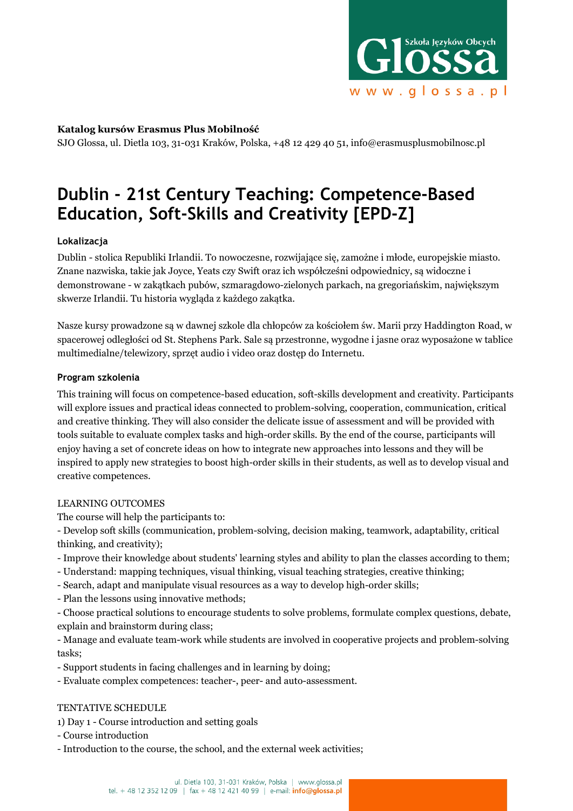

## **Katalog kursów Erasmus Plus Mobilność**

SJO Glossa, ul. Dietla 103, 31-031 Kraków, Polska, +48 12 429 40 51, info@erasmusplusmobilnosc.pl

# **Dublin - 21st Century Teaching: Competence-Based Education, Soft-Skills and Creativity [EPD-Z]**

## **Lokalizacja**

Dublin - stolica Republiki Irlandii. To nowoczesne, rozwijające się, zamożne i młode, europejskie miasto. Znane nazwiska, takie jak Joyce, Yeats czy Swift oraz ich współcześni odpowiednicy, są widoczne i demonstrowane - w zakątkach pubów, szmaragdowo-zielonych parkach, na gregoriańskim, największym skwerze Irlandii. Tu historia wygląda z każdego zakątka.

Nasze kursy prowadzone są w dawnej szkole dla chłopców za kościołem św. Marii przy Haddington Road, w spacerowej odległości od St. Stephens Park. Sale są przestronne, wygodne i jasne oraz wyposażone w tablice multimedialne/telewizory, sprzęt audio i video oraz dostęp do Internetu.

## **Program szkolenia**

This training will focus on competence-based education, soft-skills development and creativity. Participants will explore issues and practical ideas connected to problem-solving, cooperation, communication, critical and creative thinking. They will also consider the delicate issue of assessment and will be provided with tools suitable to evaluate complex tasks and high-order skills. By the end of the course, participants will enjoy having a set of concrete ideas on how to integrate new approaches into lessons and they will be inspired to apply new strategies to boost high-order skills in their students, as well as to develop visual and creative competences.

## LEARNING OUTCOMES

The course will help the participants to:

- Develop soft skills (communication, problem-solving, decision making, teamwork, adaptability, critical thinking, and creativity);

- Improve their knowledge about students' learning styles and ability to plan the classes according to them;
- Understand: mapping techniques, visual thinking, visual teaching strategies, creative thinking;
- Search, adapt and manipulate visual resources as a way to develop high-order skills;
- Plan the lessons using innovative methods;

- Choose practical solutions to encourage students to solve problems, formulate complex questions, debate, explain and brainstorm during class;

- Manage and evaluate team-work while students are involved in cooperative projects and problem-solving tasks;

- Support students in facing challenges and in learning by doing;
- Evaluate complex competences: teacher-, peer- and auto-assessment.

## TENTATIVE SCHEDULE

- 1) Day 1 Course introduction and setting goals
- Course introduction
- Introduction to the course, the school, and the external week activities;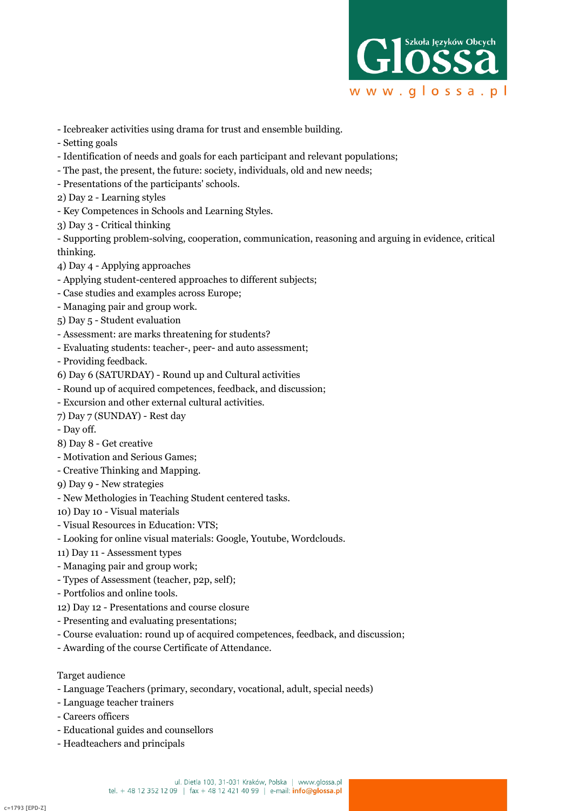

- Icebreaker activities using drama for trust and ensemble building.
- Setting goals
- Identification of needs and goals for each participant and relevant populations;
- The past, the present, the future: society, individuals, old and new needs;
- Presentations of the participants' schools.
- 2) Day 2 Learning styles
- Key Competences in Schools and Learning Styles.
- 3) Day 3 Critical thinking

- Supporting problem-solving, cooperation, communication, reasoning and arguing in evidence, critical thinking.

- 4) Day 4 Applying approaches
- Applying student-centered approaches to different subjects;
- Case studies and examples across Europe;
- Managing pair and group work.
- 5) Day 5 Student evaluation
- Assessment: are marks threatening for students?
- Evaluating students: teacher-, peer- and auto assessment;
- Providing feedback.
- 6) Day 6 (SATURDAY) Round up and Cultural activities
- Round up of acquired competences, feedback, and discussion;
- Excursion and other external cultural activities.
- 7) Day 7 (SUNDAY) Rest day
- Day off.
- 8) Day 8 Get creative
- Motivation and Serious Games;
- Creative Thinking and Mapping.
- 9) Day 9 New strategies
- New Methologies in Teaching Student centered tasks.
- 10) Day 10 Visual materials
- Visual Resources in Education: VTS;
- Looking for online visual materials: Google, Youtube, Wordclouds.
- 11) Day 11 Assessment types
- Managing pair and group work;
- Types of Assessment (teacher, p2p, self);
- Portfolios and online tools.
- 12) Day 12 Presentations and course closure
- Presenting and evaluating presentations;
- Course evaluation: round up of acquired competences, feedback, and discussion;
- Awarding of the course Certificate of Attendance.

## Target audience

- Language Teachers (primary, secondary, vocational, adult, special needs)
- Language teacher trainers
- Careers officers
- Educational guides and counsellors
- Headteachers and principals